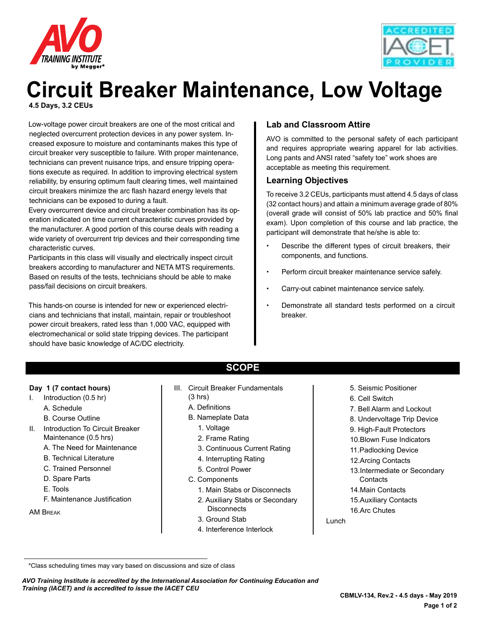



# **Circuit Breaker Maintenance, Low Voltage 4.5 Days, 3.2 CEUs**

Low-voltage power circuit breakers are one of the most critical and neglected overcurrent protection devices in any power system. Increased exposure to moisture and contaminants makes this type of circuit breaker very susceptible to failure. With proper maintenance, technicians can prevent nuisance trips, and ensure tripping operations execute as required. In addition to improving electrical system reliability, by ensuring optimum fault clearing times, well maintained circuit breakers minimize the arc flash hazard energy levels that technicians can be exposed to during a fault.

Every overcurrent device and circuit breaker combination has its operation indicated on time current characteristic curves provided by the manufacturer. A good portion of this course deals with reading a wide variety of overcurrent trip devices and their corresponding time characteristic curves.

Participants in this class will visually and electrically inspect circuit breakers according to manufacturer and NETA MTS requirements. Based on results of the tests, technicians should be able to make pass/fail decisions on circuit breakers.

This hands-on course is intended for new or experienced electricians and technicians that install, maintain, repair or troubleshoot power circuit breakers, rated less than 1,000 VAC, equipped with electromechanical or solid state tripping devices. The participant should have basic knowledge of AC/DC electricity.

# **Lab and Classroom Attire**

AVO is committed to the personal safety of each participant and requires appropriate wearing apparel for lab activities. Long pants and ANSI rated "safety toe" work shoes are acceptable as meeting this requirement.

#### **Learning Objectives**

To receive 3.2 CEUs, participants must attend 4.5 days of class (32 contact hours) and attain a minimum average grade of 80% (overall grade will consist of 50% lab practice and 50% final exam). Upon completion of this course and lab practice, the participant will demonstrate that he/she is able to:

- Describe the different types of circuit breakers, their components, and functions.
- Perform circuit breaker maintenance service safely.
- Carry-out cabinet maintenance service safely.
- Demonstrate all standard tests performed on a circuit breaker.

#### **Day 1 (7 contact hours)**

- I. Introduction (0.5 hr)
	- A. Schedule
	- B. Course Outline
- II. Introduction To Circuit Breaker Maintenance (0.5 hrs)
	- A. The Need for Maintenance
	- B. Technical Literature
	- C. Trained Personnel
	- D. Spare Parts
	- E. Tools
	- F. Maintenance Justification
- AM Break
- **SCOPE**
- III. Circuit Breaker Fundamentals
	- (3 hrs) A. Definitions
	- B. Nameplate Data
		-
		- 1. Voltage
		- 2. Frame Rating
		- 3. Continuous Current Rating
		- 4. Interrupting Rating
		- 5. Control Power
	- C. Components
		- 1. Main Stabs or Disconnects
		- 2. Auxiliary Stabs or Secondary **Disconnects**
		- 3. Ground Stab
		- 4. Interference Interlock
- 5. Seismic Positioner
- 6. Cell Switch
- 7. Bell Alarm and Lockout
- 8. Undervoltage Trip Device
- 9. High-Fault Protectors
- 10.Blown Fuse Indicators
- 11.Padlocking Device
- 12.Arcing Contacts
- 13.Intermediate or Secondary **Contacts**
- 14.Main Contacts
- 15.Auxiliary Contacts
- 16.Arc Chutes

Lunch

 <sup>\*</sup>Class scheduling times may vary based on discussions and size of class

*AVO Training Institute is accredited by the International Association for Continuing Education and Training (IACET) and is accredited to issue the IACET CEU*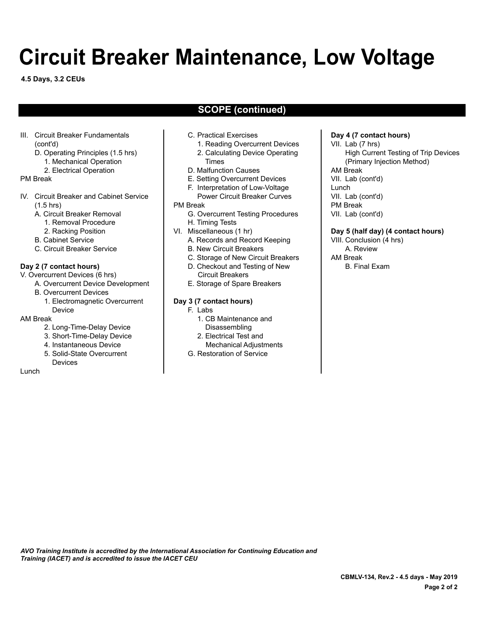# **Circuit Breaker Maintenance, Low Voltage**

**4.5 Days, 3.2 CEUs**

# **SCOPE (continued)**

- III. Circuit Breaker Fundamentals (cont'd)
	- D. Operating Principles (1.5 hrs)
		- 1. Mechanical Operation
		- 2. Electrical Operation

#### PM Break

- IV. Circuit Breaker and Cabinet Service (1.5 hrs)
	- A. Circuit Breaker Removal
		- 1. Removal Procedure
		- 2. Racking Position
	- B. Cabinet Service
	- C. Circuit Breaker Service

#### **Day 2 (7 contact hours)**

- V. Overcurrent Devices (6 hrs)
	- A. Overcurrent Device Development
		- B. Overcurrent Devices
			- 1. Electromagnetic Overcurrent Device

#### AM Break

- 2. Long-Time-Delay Device
- 3. Short-Time-Delay Device
- 4. Instantaneous Device
- 5. Solid-State Overcurrent
- Devices

#### Lunch

- C. Practical Exercises
	- 1. Reading Overcurrent Devices 2. Calculating Device Operating
	- Times
- D. Malfunction Causes
- E. Setting Overcurrent Devices
- F. Interpretation of Low-Voltage Power Circuit Breaker Curves

#### PM Break

- G. Overcurrent Testing Procedures H. Timing Tests
- VI. Miscellaneous (1 hr)
	- A. Records and Record Keeping B. New Circuit Breakers
	- C. Storage of New Circuit Breakers
	- D. Checkout and Testing of New Circuit Breakers
	- E. Storage of Spare Breakers

#### **Day 3 (7 contact hours)**

- F. Labs
	- 1. CB Maintenance and Disassembling
	- 2. Electrical Test and
	- Mechanical Adjustments
- G. Restoration of Service

# **Day 4 (7 contact hours)**

VII. Lab (7 hrs) High Current Testing of Trip Devices (Primary Injection Method) AM Break VII. Lab (cont'd) Lunch VII. Lab (cont'd) PM Break VII. Lab (cont'd)

### **Day 5 (half day) (4 contact hours)**

VIII. Conclusion (4 hrs) A. Review AM Break B. Final Exam